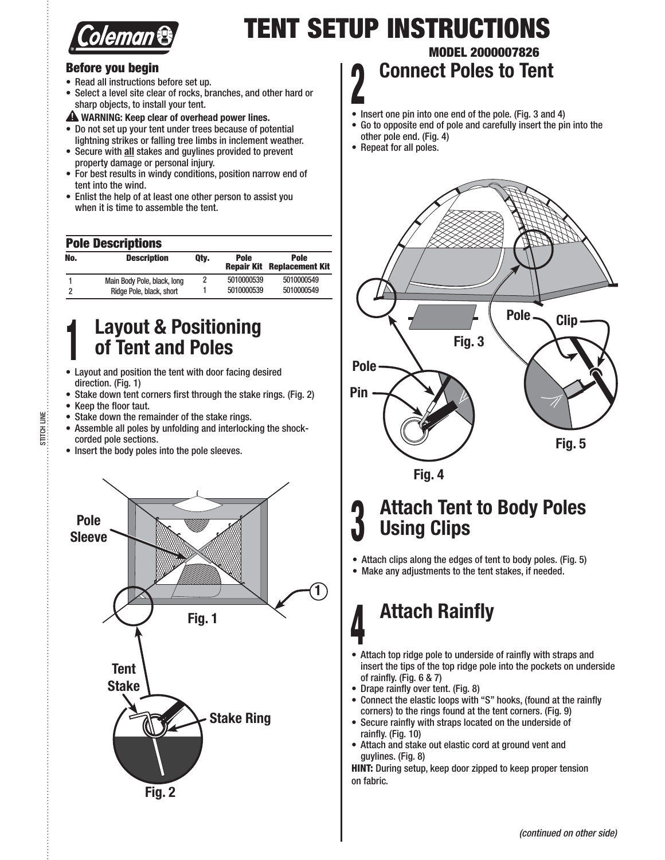

# **TENT SETUP INSTRUCTIONS**

### **Before you begin**

- Read all instructions before set up.
- Select a level site clear of rocks, branches, and other hard or sharp objects, to install your tent.

 **WARNING: Keep clear of overhead power lines.**

- Do not set up your tent under trees because of potential lightning strikes or falling tree limbs in inclement weather.
- Secure with all stakes and guylines provided to prevent property damage or personal injury.
- For best results in windy conditions, position narrow end of tent into the wind.
- Enlist the help of at least one other person to assist you when it is time to assemble the tent.

### **Pole Descriptions**

| No. | <b>Description</b>          | Qty. | <b>Pole</b> | <b>Pole</b><br><b>Repair Kit Replacement Kit</b> |
|-----|-----------------------------|------|-------------|--------------------------------------------------|
|     | Main Body Pole, black, long |      | 5010000539  | 5010000549                                       |
|     | Ridge Pole, black, short    |      | 5010000539  | 5010000549                                       |

## **<sup>1</sup> Layout & Positioning of Tent and Poles**

- Layout and position the tent with door facing desired direction. (Fig. 1)
- Stake down tent corners first through the stake rings. (Fig. 2)
- Keep the floor taut.

STITCH LINE

STITCH LINE

- Stake down the remainder of the stake rings.
- Assemble all poles by unfolding and interlocking the shockcorded pole sections.
- Insert the body poles into the pole sleeves.



## **MODEL 2000007826 <sup>2</sup> Connect Poles to Tent**

- Insert one pin into one end of the pole. (Fig. 3 and 4)
- Go to opposite end of pole and carefully insert the pin into the other pole end. (Fig. 4)
- Repeat for all poles.



## **<sup>3</sup> Attach Tent to Body Poles Using Clips**

 $\bullet$  Attach clips along the edges of tent to body poles. (Fig. 5)

• Make any adjustments to the tent stakes, if needed.

# **<sup>4</sup> Attach Rainfly**

- Attach top ridge pole to underside of rainfly with straps and insert the tips of the top ridge pole into the pockets on underside of rainfly. (Fig. 6 & 7)
- Drape rainfly over tent. (Fig. 8)
- Connect the elastic loops with "S" hooks, (found at the rainfly corners) to the rings found at the tent corners. (Fig. 9)
- Secure rainfly with straps located on the underside of rainfly. (Fig. 10)
- Attach and stake out elastic cord at ground vent and guylines. (Fig. 8)

**HINT:** During setup, keep door zipped to keep proper tension on fabric.